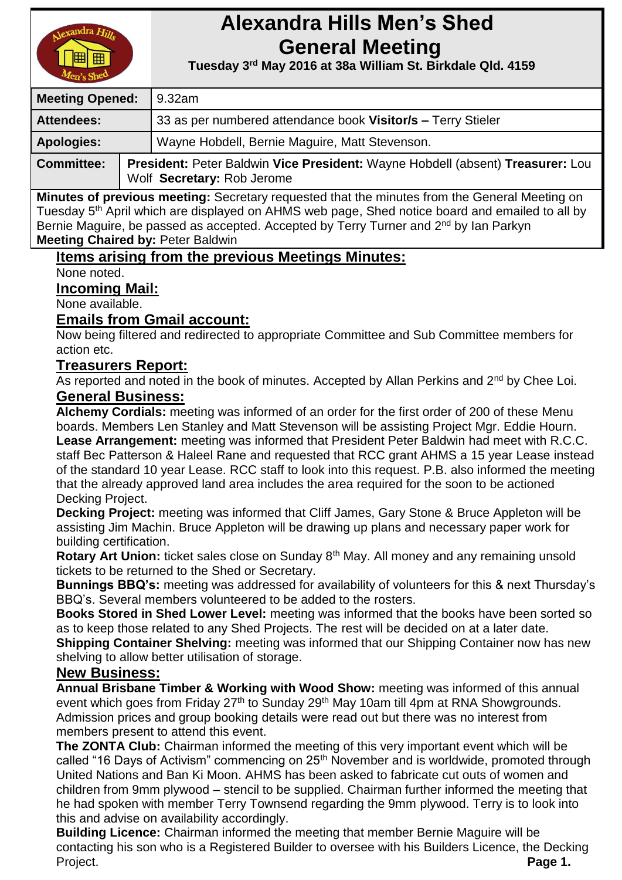

# **Alexandra Hills Men's Shed General Meeting**

 **Tuesday 3 rd May 2016 at 38a William St. Birkdale Qld. 4159** 

| <b>Meeting Opened:</b> |  | 9.32am                                                                                                       |  |
|------------------------|--|--------------------------------------------------------------------------------------------------------------|--|
| <b>Attendees:</b>      |  | 33 as per numbered attendance book Visitor/s - Terry Stieler                                                 |  |
| <b>Apologies:</b>      |  | Wayne Hobdell, Bernie Maguire, Matt Stevenson.                                                               |  |
| <b>Committee:</b>      |  | President: Peter Baldwin Vice President: Wayne Hobdell (absent) Treasurer: Lou<br>Wolf Secretary: Rob Jerome |  |

**Minutes of previous meeting:** Secretary requested that the minutes from the General Meeting on Tuesday 5<sup>th</sup> April which are displayed on AHMS web page, Shed notice board and emailed to all by Bernie Maguire, be passed as accepted. Accepted by Terry Turner and 2<sup>nd</sup> by Ian Parkyn **Meeting Chaired by:** Peter Baldwin

# **Items arising from the previous Meetings Minutes:**

None noted.

#### **Incoming Mail:**

None available.

# **Emails from Gmail account:**

Now being filtered and redirected to appropriate Committee and Sub Committee members for action etc.

### **Treasurers Report:**

As reported and noted in the book of minutes. Accepted by Allan Perkins and 2<sup>nd</sup> by Chee Loi. **General Business:**

**Alchemy Cordials:** meeting was informed of an order for the first order of 200 of these Menu boards. Members Len Stanley and Matt Stevenson will be assisting Project Mgr. Eddie Hourn. **Lease Arrangement:** meeting was informed that President Peter Baldwin had meet with R.C.C. staff Bec Patterson & Haleel Rane and requested that RCC grant AHMS a 15 year Lease instead of the standard 10 year Lease. RCC staff to look into this request. P.B. also informed the meeting that the already approved land area includes the area required for the soon to be actioned Decking Project.

**Decking Project:** meeting was informed that Cliff James, Gary Stone & Bruce Appleton will be assisting Jim Machin. Bruce Appleton will be drawing up plans and necessary paper work for building certification.

**Rotary Art Union:** ticket sales close on Sunday 8th May. All money and any remaining unsold tickets to be returned to the Shed or Secretary.

**Bunnings BBQ's:** meeting was addressed for availability of volunteers for this & next Thursday's BBQ's. Several members volunteered to be added to the rosters.

**Books Stored in Shed Lower Level:** meeting was informed that the books have been sorted so as to keep those related to any Shed Projects. The rest will be decided on at a later date.

**Shipping Container Shelving:** meeting was informed that our Shipping Container now has new shelving to allow better utilisation of storage.

### **New Business:**

**Annual Brisbane Timber & Working with Wood Show:** meeting was informed of this annual event which goes from Friday 27<sup>th</sup> to Sunday 29<sup>th</sup> May 10am till 4pm at RNA Showgrounds. Admission prices and group booking details were read out but there was no interest from members present to attend this event.

**The ZONTA Club:** Chairman informed the meeting of this very important event which will be called "16 Days of Activism" commencing on 25<sup>th</sup> November and is worldwide, promoted through United Nations and Ban Ki Moon. AHMS has been asked to fabricate cut outs of women and children from 9mm plywood – stencil to be supplied. Chairman further informed the meeting that he had spoken with member Terry Townsend regarding the 9mm plywood. Terry is to look into this and advise on availability accordingly.

**Building Licence:** Chairman informed the meeting that member Bernie Maguire will be contacting his son who is a Registered Builder to oversee with his Builders Licence, the Decking Project. **Project Project Page 1.**